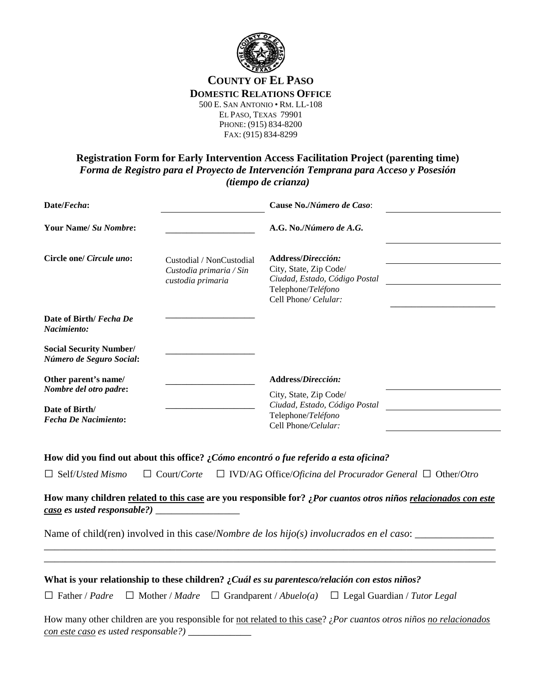

# **COUNTY OF EL PASO DOMESTIC RELATIONS OFFICE**

500 E. SAN ANTONIO • RM. LL-108 EL PASO, TEXAS 79901 PHONE: (915) 834-8200 FAX: (915) 834-8299

### **Registration Form for Early Intervention Access Facilitation Project (parenting time)** *Forma de Registro para el Proyecto de Intervención Temprana para Acceso y Posesión (tiempo de crianza)*

|                                                                          | Cause No./Número de Caso:                                                                                                   |  |
|--------------------------------------------------------------------------|-----------------------------------------------------------------------------------------------------------------------------|--|
|                                                                          | A.G. No./Número de A.G.                                                                                                     |  |
| Custodial / NonCustodial<br>Custodia primaria / Sin<br>custodia primaria | Address/Dirección:<br>City, State, Zip Code/<br>Ciudad, Estado, Código Postal<br>Telephone/Teléfono<br>Cell Phone/ Celular: |  |
|                                                                          |                                                                                                                             |  |
|                                                                          |                                                                                                                             |  |
|                                                                          | Address/Dirección:<br>City, State, Zip Code/<br>Ciudad, Estado, Código Postal<br>Telephone/Teléfono<br>Cell Phone/Celular:  |  |
|                                                                          |                                                                                                                             |  |

**How did you find out about this office? ¿***Cómo encontró o fue referido a esta oficina?*

**How many children related to this case are you responsible for? ¿***Por cuantos otros niños relacionados con este caso es usted responsable?)* \_\_\_\_\_\_\_\_\_\_\_\_\_\_\_\_

\_\_\_\_\_\_\_\_\_\_\_\_\_\_\_\_\_\_\_\_\_\_\_\_\_\_\_\_\_\_\_\_\_\_\_\_\_\_\_\_\_\_\_\_\_\_\_\_\_\_\_\_\_\_\_\_\_\_\_\_\_\_\_\_\_\_\_\_\_\_\_\_\_\_\_\_\_\_\_\_\_\_\_\_\_\_

Name of child(ren) involved in this case/*Nombre de los hijo(s) involucrados en el caso*: \_\_\_\_\_\_\_\_\_\_\_\_\_\_\_

| What is your relationship to these children? : Cuál es su parentesco/relación con estos niños? |  |  |                                                                                                                           |  |
|------------------------------------------------------------------------------------------------|--|--|---------------------------------------------------------------------------------------------------------------------------|--|
|                                                                                                |  |  | $\Box$ Father / Padre $\Box$ Mother / Madre $\Box$ Grandparent / Abuelo(a) $\Box$ Legal Guardian / Tutor Legal            |  |
|                                                                                                |  |  | How many other children are you responsible for not related to this case? <i>¿Por cuantos otros niños no relacionados</i> |  |